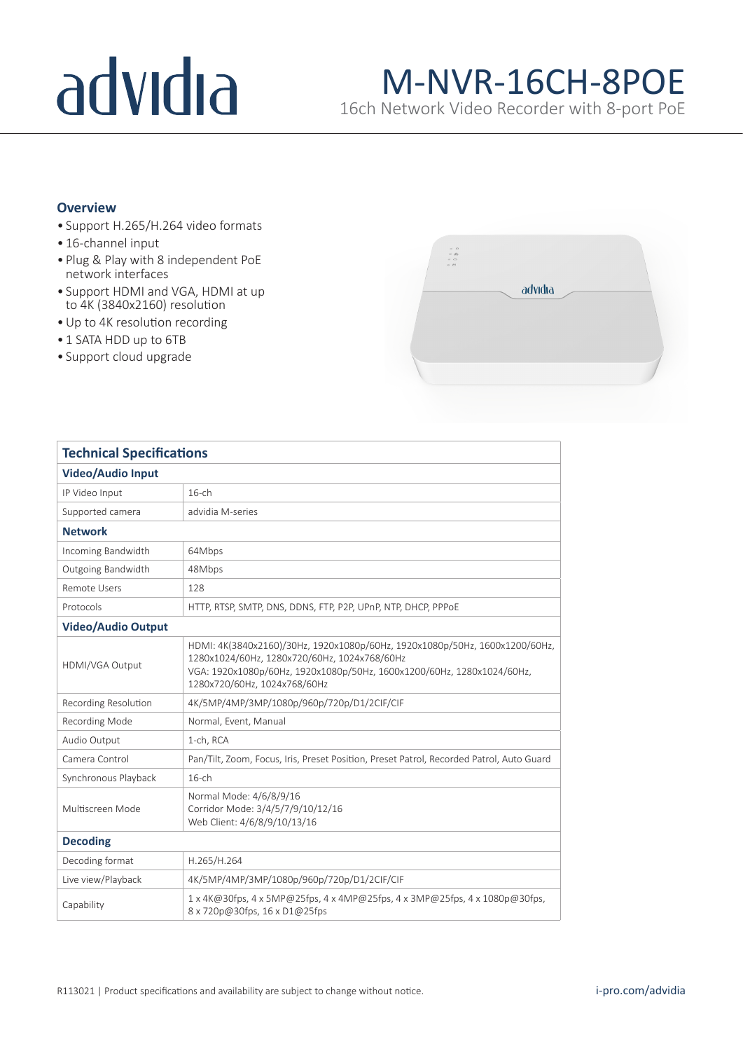# advidia

### M-NVR-16CH-8POE

16ch Network Video Recorder with 8-port PoE

#### **Overview**

- Support H.265/H.264 video formats
- 16-channel input
- Plug & Play with 8 independent PoE network interfaces
- Support HDMI and VGA, HDMI at up to 4K (3840x2160) resolution
- •Up to 4K resolution recording
- 1 SATA HDD up to 6TB
- Support cloud upgrade



| <b>Technical Specifications</b> |                                                                                                                                                                                                                                       |
|---------------------------------|---------------------------------------------------------------------------------------------------------------------------------------------------------------------------------------------------------------------------------------|
| <b>Video/Audio Input</b>        |                                                                                                                                                                                                                                       |
| IP Video Input                  | $16$ -ch                                                                                                                                                                                                                              |
| Supported camera                | advidia M-series                                                                                                                                                                                                                      |
| <b>Network</b>                  |                                                                                                                                                                                                                                       |
| Incoming Bandwidth              | 64Mbps                                                                                                                                                                                                                                |
| Outgoing Bandwidth              | 48Mbps                                                                                                                                                                                                                                |
| <b>Remote Users</b>             | 128                                                                                                                                                                                                                                   |
| Protocols                       | HTTP, RTSP, SMTP, DNS, DDNS, FTP, P2P, UPnP, NTP, DHCP, PPPOE                                                                                                                                                                         |
| <b>Video/Audio Output</b>       |                                                                                                                                                                                                                                       |
| HDMI/VGA Output                 | HDMI: 4K(3840x2160)/30Hz, 1920x1080p/60Hz, 1920x1080p/50Hz, 1600x1200/60Hz,<br>1280x1024/60Hz, 1280x720/60Hz, 1024x768/60Hz<br>VGA: 1920x1080p/60Hz, 1920x1080p/50Hz, 1600x1200/60Hz, 1280x1024/60Hz,<br>1280x720/60Hz, 1024x768/60Hz |
| <b>Recording Resolution</b>     | 4K/5MP/4MP/3MP/1080p/960p/720p/D1/2CIF/CIF                                                                                                                                                                                            |
| Recording Mode                  | Normal, Event, Manual                                                                                                                                                                                                                 |
| Audio Output                    | 1-ch, RCA                                                                                                                                                                                                                             |
| Camera Control                  | Pan/Tilt, Zoom, Focus, Iris, Preset Position, Preset Patrol, Recorded Patrol, Auto Guard                                                                                                                                              |
| Synchronous Playback            | $16$ -ch                                                                                                                                                                                                                              |
| Multiscreen Mode                | Normal Mode: 4/6/8/9/16<br>Corridor Mode: 3/4/5/7/9/10/12/16<br>Web Client: 4/6/8/9/10/13/16                                                                                                                                          |
| <b>Decoding</b>                 |                                                                                                                                                                                                                                       |
| Decoding format                 | H.265/H.264                                                                                                                                                                                                                           |
| Live view/Playback              | 4K/5MP/4MP/3MP/1080p/960p/720p/D1/2CIF/CIF                                                                                                                                                                                            |
| Capability                      | $1 \times 4$ K@30fps, $4 \times 5$ MP@25fps, $4 \times 4$ MP@25fps, $4 \times 3$ MP@25fps, $4 \times 1080$ p@30fps,<br>8 x 720p@30fps, 16 x D1@25fps                                                                                  |